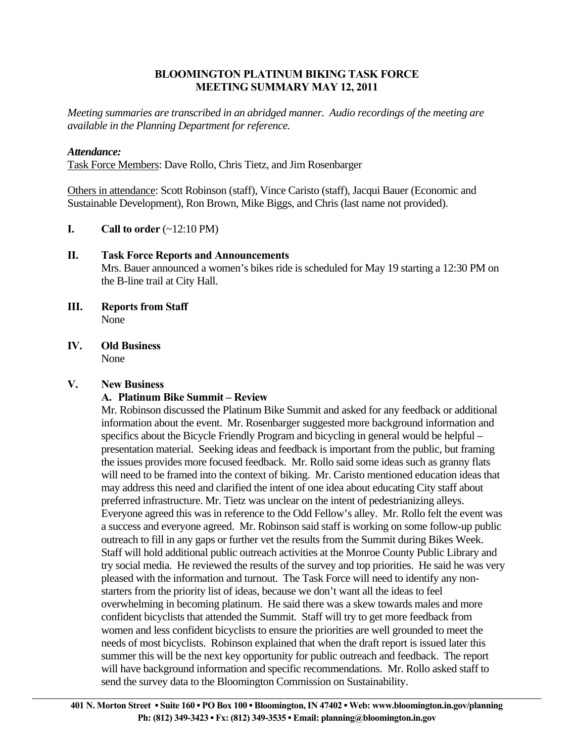#### **BLOOMINGTON PLATINUM BIKING TASK FORCE MEETING SUMMARY MAY 12, 2011**

*Meeting summaries are transcribed in an abridged manner. Audio recordings of the meeting are available in the Planning Department for reference.* 

#### *Attendance:*

Task Force Members: Dave Rollo, Chris Tietz, and Jim Rosenbarger

Others in attendance: Scott Robinson (staff), Vince Caristo (staff), Jacqui Bauer (Economic and Sustainable Development), Ron Brown, Mike Biggs, and Chris (last name not provided).

**I.** Call to order  $(-12:10 \text{ PM})$ 

# **II. Task Force Reports and Announcements**

 Mrs. Bauer announced a women's bikes ride is scheduled for May 19 starting a 12:30 PM on the B-line trail at City Hall.

- **III. Reports from Staff** None
- **IV. Old Business**  None

# **V. New Business**

# **A. Platinum Bike Summit – Review**

Mr. Robinson discussed the Platinum Bike Summit and asked for any feedback or additional information about the event. Mr. Rosenbarger suggested more background information and specifics about the Bicycle Friendly Program and bicycling in general would be helpful – presentation material. Seeking ideas and feedback is important from the public, but framing the issues provides more focused feedback. Mr. Rollo said some ideas such as granny flats will need to be framed into the context of biking. Mr. Caristo mentioned education ideas that may address this need and clarified the intent of one idea about educating City staff about preferred infrastructure. Mr. Tietz was unclear on the intent of pedestrianizing alleys. Everyone agreed this was in reference to the Odd Fellow's alley. Mr. Rollo felt the event was a success and everyone agreed. Mr. Robinson said staff is working on some follow-up public outreach to fill in any gaps or further vet the results from the Summit during Bikes Week. Staff will hold additional public outreach activities at the Monroe County Public Library and try social media. He reviewed the results of the survey and top priorities. He said he was very pleased with the information and turnout. The Task Force will need to identify any nonstarters from the priority list of ideas, because we don't want all the ideas to feel overwhelming in becoming platinum. He said there was a skew towards males and more confident bicyclists that attended the Summit. Staff will try to get more feedback from women and less confident bicyclists to ensure the priorities are well grounded to meet the needs of most bicyclists. Robinson explained that when the draft report is issued later this summer this will be the next key opportunity for public outreach and feedback. The report will have background information and specific recommendations. Mr. Rollo asked staff to send the survey data to the Bloomington Commission on Sustainability.